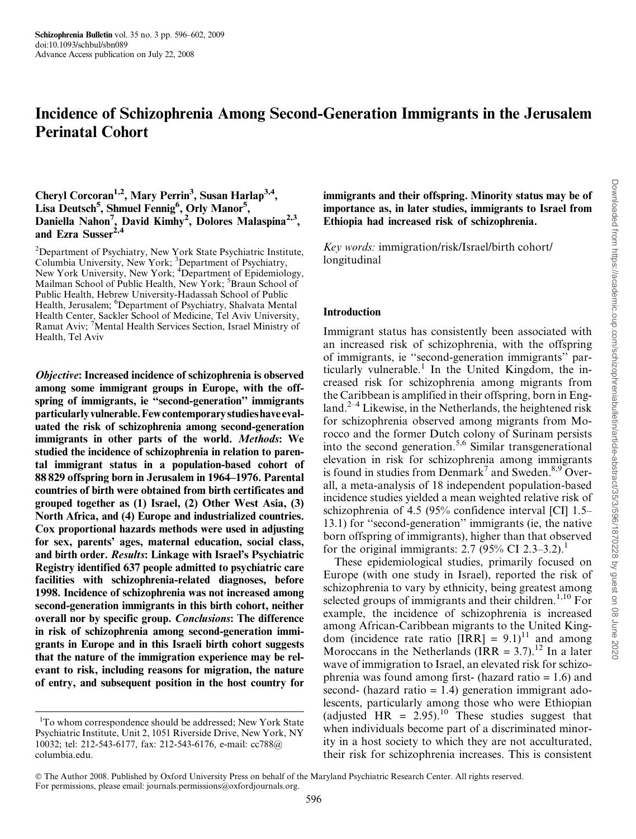# Incidence of Schizophrenia Among Second-Generation Immigrants in the Jerusalem Perinatal Cohort

## Cheryl Corcoran<sup>1,2</sup>, Mary Perrin<sup>3</sup>, Susan Harlap<sup>3,4</sup>, Lisa Deutsch<sup>5</sup>, Shmuel Fennig<sup>6</sup>, Orly Manor<sup>5</sup>, Daniella Nahon<sup>7</sup>, David Kimhy<sup>2</sup>, Dolores Malaspina<sup>2,3</sup>, and Ezra Susser $^{2,4}$

<sup>2</sup>Department of Psychiatry, New York State Psychiatric Institute, Columbia University, New York; <sup>3</sup>Department of Psychiatry,<br>New York University, New York; <sup>4</sup>Department of Epidemiology, Mailman School of Public Health, New York; <sup>5</sup>Braun School of Public Health, Hebrew University-Hadassah School of Public Health, Jerusalem; <sup>6</sup>Department of Psychiatry, Shalvata Mental Health Center, Sackler School of Medicine, Tel Aviv University, Ramat Aviv; <sup>7</sup>Mental Health Services Section, Israel Ministry of Health, Tel Aviv

Objective: Increased incidence of schizophrenia is observed among some immigrant groups in Europe, with the offspring of immigrants, ie ''second-generation'' immigrants particularlyvulnerable.Fewcontemporary studies have evaluated the risk of schizophrenia among second-generation immigrants in other parts of the world. Methods: We studied the incidence of schizophrenia in relation to parental immigrant status in a population-based cohort of 88 829 offspring born in Jerusalem in 1964–1976. Parental countries of birth were obtained from birth certificates and grouped together as (1) Israel, (2) Other West Asia, (3) North Africa, and (4) Europe and industrialized countries. Cox proportional hazards methods were used in adjusting for sex, parents' ages, maternal education, social class, and birth order. Results: Linkage with Israel's Psychiatric Registry identified 637 people admitted to psychiatric care facilities with schizophrenia-related diagnoses, before 1998. Incidence of schizophrenia was not increased among second-generation immigrants in this birth cohort, neither overall nor by specific group. Conclusions: The difference in risk of schizophrenia among second-generation immigrants in Europe and in this Israeli birth cohort suggests that the nature of the immigration experience may be relevant to risk, including reasons for migration, the nature of entry, and subsequent position in the host country for

immigrants and their offspring. Minority status may be of importance as, in later studies, immigrants to Israel from Ethiopia had increased risk of schizophrenia.

Key words: immigration/risk/Israel/birth cohort/ longitudinal

#### Introduction

Immigrant status has consistently been associated with an increased risk of schizophrenia, with the offspring of immigrants, ie ''second-generation immigrants'' particularly vulnerable.<sup>1</sup> In the United Kingdom, the increased risk for schizophrenia among migrants from the Caribbean is amplified in their offspring, born in England. $2-4$  Likewise, in the Netherlands, the heightened risk for schizophrenia observed among migrants from Morocco and the former Dutch colony of Surinam persists into the second generation.5,6 Similar transgenerational elevation in risk for schizophrenia among immigrants is found in studies from Denmark<sup>7</sup> and Sweden.<sup>8,9</sup> Overall, a meta-analysis of 18 independent population-based incidence studies yielded a mean weighted relative risk of schizophrenia of 4.5 (95% confidence interval [CI] 1.5– 13.1) for ''second-generation'' immigrants (ie, the native born offspring of immigrants), higher than that observed for the original immigrants: 2.7 (95% CI 2.3–3.2).<sup>1</sup>

These epidemiological studies, primarily focused on Europe (with one study in Israel), reported the risk of schizophrenia to vary by ethnicity, being greatest among selected groups of immigrants and their children.<sup>1,10</sup> For example, the incidence of schizophrenia is increased among African-Caribbean migrants to the United Kingdom (incidence rate ratio  $[IRR] = 9.1$ )<sup>11</sup> and among Moroccans in the Netherlands (IRR =  $3.7$ ).<sup>12</sup> In a later wave of immigration to Israel, an elevated risk for schizophrenia was found among first- (hazard ratio = 1.6) and second- (hazard ratio  $= 1.4$ ) generation immigrant adolescents, particularly among those who were Ethiopian (adjusted HR =  $2.95$ ).<sup>10</sup> These studies suggest that when individuals become part of a discriminated minority in a host society to which they are not acculturated, their risk for schizophrenia increases. This is consistent

<sup>&</sup>lt;sup>1</sup>To whom correspondence should be addressed; New York State Psychiatric Institute, Unit 2, 1051 Riverside Drive, New York, NY 10032; tel: 212-543-6177, fax: 212-543-6176, e-mail: cc788@ columbia.edu.

The Author 2008. Published by Oxford University Press on behalf of the Maryland Psychiatric Research Center. All rights reserved. For permissions, please email: journals.permissions@oxfordjournals.org.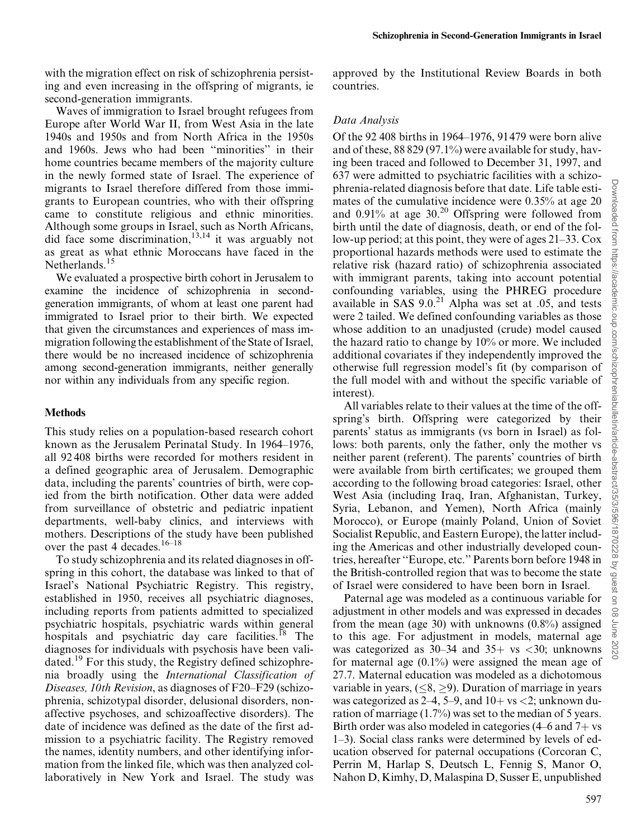with the migration effect on risk of schizophrenia persisting and even increasing in the offspring of migrants, ie second-generation immigrants.

Waves of immigration to Israel brought refugees from Europe after World War II, from West Asia in the late 1940s and 1950s and from North Africa in the 1950s and 1960s. Jews who had been ''minorities'' in their home countries became members of the majority culture in the newly formed state of Israel. The experience of migrants to Israel therefore differed from those immigrants to European countries, who with their offspring came to constitute religious and ethnic minorities. Although some groups in Israel, such as North Africans, did face some discrimination,<sup>13,14</sup> it was arguably not as great as what ethnic Moroccans have faced in the Netherlands.<sup>15</sup>

We evaluated a prospective birth cohort in Jerusalem to examine the incidence of schizophrenia in secondgeneration immigrants, of whom at least one parent had immigrated to Israel prior to their birth. We expected that given the circumstances and experiences of mass immigration following the establishment of the State of Israel, there would be no increased incidence of schizophrenia among second-generation immigrants, neither generally nor within any individuals from any specific region.

#### Methods

This study relies on a population-based research cohort known as the Jerusalem Perinatal Study. In 1964–1976, all 92 408 births were recorded for mothers resident in a defined geographic area of Jerusalem. Demographic data, including the parents' countries of birth, were copied from the birth notification. Other data were added from surveillance of obstetric and pediatric inpatient departments, well-baby clinics, and interviews with mothers. Descriptions of the study have been published over the past 4 decades.<sup>16–18</sup>

To study schizophrenia and its related diagnoses in offspring in this cohort, the database was linked to that of Israel's National Psychiatric Registry. This registry, established in 1950, receives all psychiatric diagnoses, including reports from patients admitted to specialized psychiatric hospitals, psychiatric wards within general hospitals and psychiatric day care facilities. $18$  The diagnoses for individuals with psychosis have been validated.<sup>19</sup> For this study, the Registry defined schizophrenia broadly using the International Classification of Diseases, 10th Revision, as diagnoses of F20–F29 (schizophrenia, schizotypal disorder, delusional disorders, nonaffective psychoses, and schizoaffective disorders). The date of incidence was defined as the date of the first admission to a psychiatric facility. The Registry removed the names, identity numbers, and other identifying information from the linked file, which was then analyzed collaboratively in New York and Israel. The study was

approved by the Institutional Review Boards in both countries.

### Data Analysis

Of the 92 408 births in 1964–1976, 91479 were born alive and of these, 88 829 (97.1%) were available for study, having been traced and followed to December 31, 1997, and 637 were admitted to psychiatric facilities with a schizophrenia-related diagnosis before that date. Life table estimates of the cumulative incidence were 0.35% at age 20 and  $0.91\%$  at age  $30.<sup>20</sup>$  Offspring were followed from birth until the date of diagnosis, death, or end of the follow-up period; at this point, they were of ages 21–33. Cox proportional hazards methods were used to estimate the relative risk (hazard ratio) of schizophrenia associated with immigrant parents, taking into account potential confounding variables, using the PHREG procedure available in SAS  $9.0^{21}$  Alpha was set at .05, and tests were 2 tailed. We defined confounding variables as those whose addition to an unadjusted (crude) model caused the hazard ratio to change by 10% or more. We included additional covariates if they independently improved the otherwise full regression model's fit (by comparison of the full model with and without the specific variable of interest).

All variables relate to their values at the time of the offspring's birth. Offspring were categorized by their parents' status as immigrants (vs born in Israel) as follows: both parents, only the father, only the mother vs neither parent (referent). The parents' countries of birth were available from birth certificates; we grouped them according to the following broad categories: Israel, other West Asia (including Iraq, Iran, Afghanistan, Turkey, Syria, Lebanon, and Yemen), North Africa (mainly Morocco), or Europe (mainly Poland, Union of Soviet Socialist Republic, and Eastern Europe), the latter including the Americas and other industrially developed countries, hereafter ''Europe, etc.'' Parents born before 1948 in the British-controlled region that was to become the state of Israel were considered to have been born in Israel.

Paternal age was modeled as a continuous variable for adjustment in other models and was expressed in decades from the mean (age 30) with unknowns  $(0.8\%)$  assigned to this age. For adjustment in models, maternal age was categorized as  $30-34$  and  $35+$  vs  $\lt 30$ ; unknowns for maternal age  $(0.1\%)$  were assigned the mean age of 27.7. Maternal education was modeled as a dichotomous variable in years,  $(\leq 8, \geq 9)$ . Duration of marriage in years was categorized as  $2-4$ ,  $5-9$ , and  $10+$  vs  $<$ 2; unknown duration of marriage (1.7%) was set to the median of 5 years. Birth order was also modeled in categories  $(4–6$  and  $7+$  vs 1–3). Social class ranks were determined by levels of education observed for paternal occupations (Corcoran C, Perrin M, Harlap S, Deutsch L, Fennig S, Manor O, Nahon D, Kimhy, D, Malaspina D, Susser E, unpublished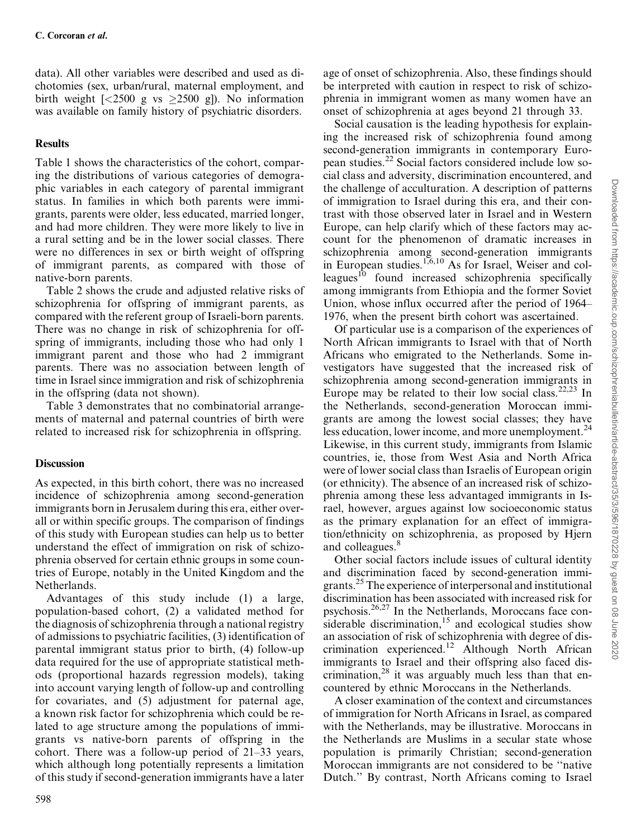data). All other variables were described and used as dichotomies (sex, urban/rural, maternal employment, and birth weight  $\left[ \langle 2500 \text{ g} \rangle \right]$  vs  $\geq 2500$  g]). No information was available on family history of psychiatric disorders.

# **Results**

Table 1 shows the characteristics of the cohort, comparing the distributions of various categories of demographic variables in each category of parental immigrant status. In families in which both parents were immigrants, parents were older, less educated, married longer, and had more children. They were more likely to live in a rural setting and be in the lower social classes. There were no differences in sex or birth weight of offspring of immigrant parents, as compared with those of native-born parents.

Table 2 shows the crude and adjusted relative risks of schizophrenia for offspring of immigrant parents, as compared with the referent group of Israeli-born parents. There was no change in risk of schizophrenia for offspring of immigrants, including those who had only 1 immigrant parent and those who had 2 immigrant parents. There was no association between length of time in Israel since immigration and risk of schizophrenia in the offspring (data not shown).

Table 3 demonstrates that no combinatorial arrangements of maternal and paternal countries of birth were related to increased risk for schizophrenia in offspring.

# **Discussion**

As expected, in this birth cohort, there was no increased incidence of schizophrenia among second-generation immigrants born in Jerusalem during this era, either overall or within specific groups. The comparison of findings of this study with European studies can help us to better understand the effect of immigration on risk of schizophrenia observed for certain ethnic groups in some countries of Europe, notably in the United Kingdom and the Netherlands.

Advantages of this study include (1) a large, population-based cohort, (2) a validated method for the diagnosis of schizophrenia through a national registry of admissions to psychiatric facilities, (3) identification of parental immigrant status prior to birth, (4) follow-up data required for the use of appropriate statistical methods (proportional hazards regression models), taking into account varying length of follow-up and controlling for covariates, and (5) adjustment for paternal age, a known risk factor for schizophrenia which could be related to age structure among the populations of immigrants vs native-born parents of offspring in the cohort. There was a follow-up period of 21–33 years, which although long potentially represents a limitation of this study if second-generation immigrants have a later age of onset of schizophrenia. Also, these findings should be interpreted with caution in respect to risk of schizophrenia in immigrant women as many women have an onset of schizophrenia at ages beyond 21 through 33.

Social causation is the leading hypothesis for explaining the increased risk of schizophrenia found among second-generation immigrants in contemporary European studies.<sup>22</sup> Social factors considered include low social class and adversity, discrimination encountered, and the challenge of acculturation. A description of patterns of immigration to Israel during this era, and their contrast with those observed later in Israel and in Western Europe, can help clarify which of these factors may account for the phenomenon of dramatic increases in schizophrenia among second-generation immigrants in European studies.<sup>1,6,10</sup> As for Israel, Weiser and colleagues $10$  found increased schizophrenia specifically among immigrants from Ethiopia and the former Soviet Union, whose influx occurred after the period of 1964– 1976, when the present birth cohort was ascertained.

Of particular use is a comparison of the experiences of North African immigrants to Israel with that of North Africans who emigrated to the Netherlands. Some investigators have suggested that the increased risk of schizophrenia among second-generation immigrants in Europe may be related to their low social class.<sup>22,23</sup> In the Netherlands, second-generation Moroccan immigrants are among the lowest social classes; they have less education, lower income, and more unemployment.<sup>24</sup> Likewise, in this current study, immigrants from Islamic countries, ie, those from West Asia and North Africa were of lower social class than Israelis of European origin (or ethnicity). The absence of an increased risk of schizophrenia among these less advantaged immigrants in Israel, however, argues against low socioeconomic status as the primary explanation for an effect of immigration/ethnicity on schizophrenia, as proposed by Hjern and colleagues.<sup>8</sup>

Other social factors include issues of cultural identity and discrimination faced by second-generation immigrants.25 The experience of interpersonal and institutional discrimination has been associated with increased risk for psychosis.26,27 In the Netherlands, Moroccans face considerable discrimination, $15$  and ecological studies show an association of risk of schizophrenia with degree of discrimination experienced.12 Although North African immigrants to Israel and their offspring also faced discrimination,<sup>28</sup> it was arguably much less than that encountered by ethnic Moroccans in the Netherlands.

A closer examination of the context and circumstances of immigration for North Africans in Israel, as compared with the Netherlands, may be illustrative. Moroccans in the Netherlands are Muslims in a secular state whose population is primarily Christian; second-generation Moroccan immigrants are not considered to be ''native Dutch.'' By contrast, North Africans coming to Israel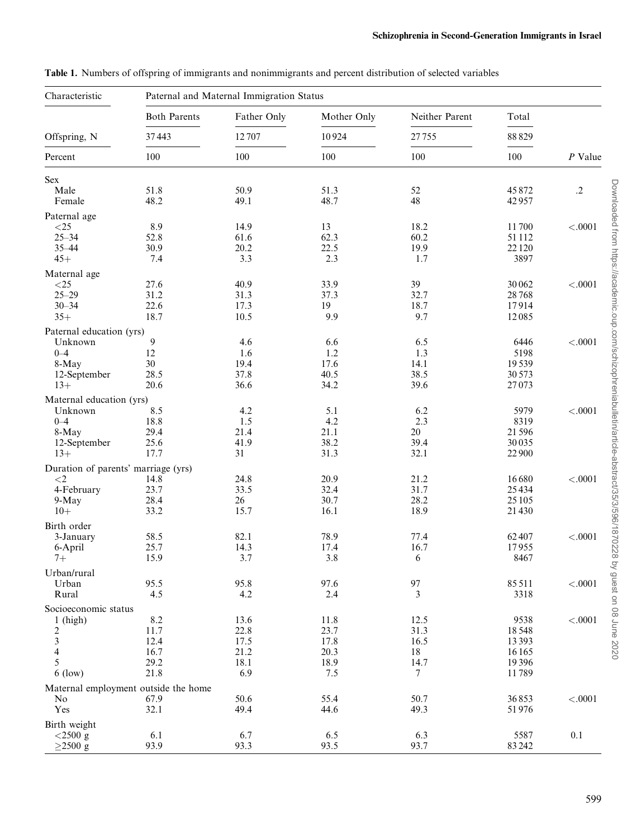| Characteristic                      | Paternal and Maternal Immigration Status |                             |              |                |                |            |  |  |  |
|-------------------------------------|------------------------------------------|-----------------------------|--------------|----------------|----------------|------------|--|--|--|
| Offspring, N<br>Percent             | <b>Both Parents</b>                      | Father Only<br>12707<br>100 | Mother Only  | Neither Parent | Total          | $P$ Value  |  |  |  |
|                                     | 37443<br>100                             |                             | 10924        | 27755          | 88829          |            |  |  |  |
|                                     |                                          |                             | 100          | 100            | 100            |            |  |  |  |
| Sex                                 |                                          |                             |              |                |                |            |  |  |  |
| Male<br>Female                      | 51.8<br>48.2                             | 50.9<br>49.1                | 51.3<br>48.7 | 52<br>48       | 45872<br>42957 | $\cdot$ .2 |  |  |  |
| Paternal age                        |                                          |                             |              |                |                |            |  |  |  |
| $<\!\!25$                           | 8.9                                      | 14.9                        | 13           | 18.2           | 11700          | < .0001    |  |  |  |
| $25 - 34$                           | 52.8                                     | 61.6                        | 62.3         | 60.2           | 51 1 12        |            |  |  |  |
| $35 - 44$<br>$45+$                  | 30.9<br>7.4                              | 20.2<br>3.3                 | 22.5<br>2.3  | 19.9<br>1.7    | 22120<br>3897  |            |  |  |  |
|                                     |                                          |                             |              |                |                |            |  |  |  |
| Maternal age                        |                                          |                             |              |                |                |            |  |  |  |
| $<25$<br>$25 - 29$                  | 27.6<br>31.2                             | 40.9<br>31.3                | 33.9<br>37.3 | 39<br>32.7     | 30062<br>28768 | < .0001    |  |  |  |
| $30 - 34$                           | 22.6                                     | 17.3                        | 19           | 18.7           | 17914          |            |  |  |  |
| $35+$                               | 18.7                                     | 10.5                        | 9.9          | 9.7            | 12085          |            |  |  |  |
|                                     |                                          |                             |              |                |                |            |  |  |  |
| Paternal education (yrs)<br>Unknown | 9                                        | 4.6                         | 6.6          | 6.5            | 6446           | < .0001    |  |  |  |
| $0 - 4$                             | 12                                       | 1.6                         | 1.2          | 1.3            | 5198           |            |  |  |  |
| 8-May                               | 30                                       | 19.4                        | 17.6         | 14.1           | 19539          |            |  |  |  |
| 12-September                        | 28.5                                     | 37.8                        | 40.5         | 38.5           | 30 573         |            |  |  |  |
| $13+$                               | 20.6                                     | 36.6                        | 34.2         | 39.6           | 27073          |            |  |  |  |
| Maternal education (yrs)            |                                          |                             |              |                |                |            |  |  |  |
| Unknown                             | 8.5                                      | 4.2                         | 5.1          | 6.2            | 5979           | < .0001    |  |  |  |
| $0 - 4$                             | 18.8                                     | 1.5                         | 4.2          | 2.3            | 8319           |            |  |  |  |
| 8-May                               | 29.4                                     | 21.4                        | 21.1         | 20             | 21596          |            |  |  |  |
| 12-September                        | 25.6                                     | 41.9                        | 38.2         | 39.4           | 30035          |            |  |  |  |
| $13+$                               | 17.7                                     | 31                          | 31.3         | 32.1           | 22900          |            |  |  |  |
| Duration of parents' marriage (yrs) |                                          |                             |              |                |                |            |  |  |  |
| ${<}2$                              | 14.8                                     | 24.8                        | 20.9         | 21.2           | 16680          | < .0001    |  |  |  |
| 4-February                          | 23.7                                     | 33.5                        | 32.4         | 31.7           | 25434          |            |  |  |  |
| 9-May                               | 28.4                                     | $26\,$                      | 30.7         | 28.2           | 25105          |            |  |  |  |
| $10+$                               | 33.2                                     | 15.7                        | 16.1         | 18.9           | 21430          |            |  |  |  |
| Birth order                         |                                          |                             |              |                |                |            |  |  |  |
| 3-January                           | 58.5                                     | 82.1                        | 78.9         | 77.4           | 62407          | < .0001    |  |  |  |
| 6-April                             | 25.7                                     | 14.3                        | 17.4         | 16.7           | 17955          |            |  |  |  |
| $7+$                                | 15.9                                     | 3.7                         | 3.8          | 6              | 8467           |            |  |  |  |
| Urban/rural                         |                                          |                             |              |                |                |            |  |  |  |
| Urban                               | 95.5                                     | 95.8                        | 97.6         | 97             | 85511          | $<.0001$   |  |  |  |
| Rural                               | 4.5                                      | 4.2                         | 2.4          | 3              | 3318           |            |  |  |  |
| Socioeconomic status                |                                          |                             |              |                |                |            |  |  |  |
| $1$ (high)                          | 8.2                                      | 13.6                        | 11.8         | 12.5           | 9538           | $<.0001$   |  |  |  |
| $\frac{2}{3}$                       | 11.7                                     | 22.8                        | 23.7         | 31.3           | 18548          |            |  |  |  |
|                                     | 12.4                                     | 17.5                        | 17.8         | 16.5           | 13393          |            |  |  |  |
| $\overline{\mathbf{4}}$             | 16.7                                     | 21.2                        | 20.3         | 18             | 16165          |            |  |  |  |
| 5                                   | 29.2                                     | 18.1                        | 18.9         | 14.7           | 19396          |            |  |  |  |
| $6$ (low)                           | 21.8                                     | 6.9                         | 7.5          | 7              | 11789          |            |  |  |  |
|                                     | Maternal employment outside the home     |                             |              |                |                |            |  |  |  |
| No                                  | 67.9                                     | 50.6                        | 55.4         | 50.7           | 36853          | $<.0001$   |  |  |  |
| Yes                                 | 32.1                                     | 49.4                        | 44.6         | 49.3           | 51976          |            |  |  |  |
| Birth weight                        |                                          |                             |              |                |                |            |  |  |  |
| $<$ 2500 g                          | 6.1                                      | 6.7                         | 6.5          | 6.3            | 5587           | $0.1\,$    |  |  |  |
| $\geq$ 2500 g                       | 93.9                                     | 93.3                        | 93.5         | 93.7           | 83242          |            |  |  |  |

Table 1. Numbers of offspring of immigrants and nonimmigrants and percent distribution of selected variables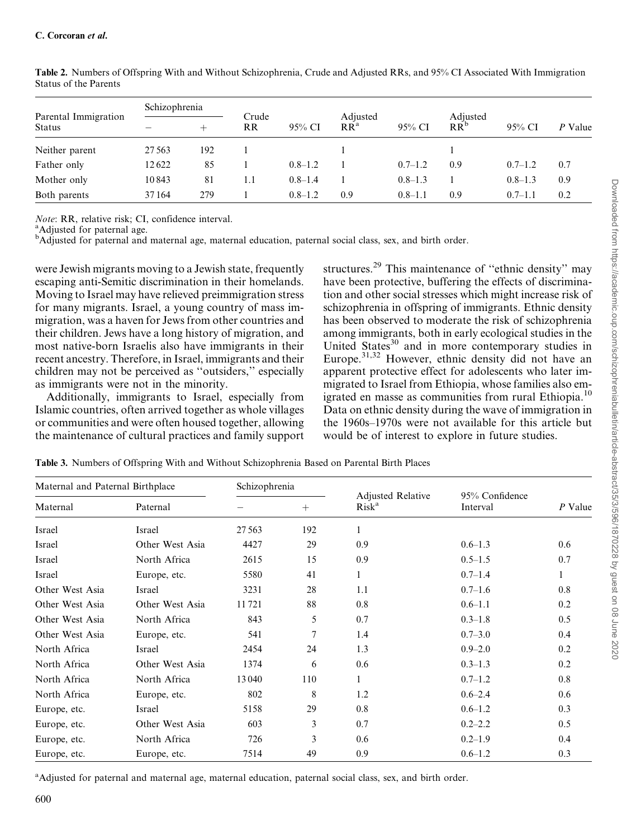| Parental Immigration | Schizophrenia |     | Crude     |             | Adjusted        |             | Adjusted |             |         |
|----------------------|---------------|-----|-----------|-------------|-----------------|-------------|----------|-------------|---------|
| <b>Status</b>        |               | +   | <b>RR</b> | 95% CI      | RR <sup>a</sup> | 95% CI      | $RR^b$   | $95\%$ CI   | P Value |
| Neither parent       | 27 5 63       | 192 |           |             |                 |             |          |             |         |
| Father only          | 12622         | 85  |           | $0.8 - 1.2$ |                 | $0.7 - 1.2$ | 0.9      | $0.7 - 1.2$ | 0.7     |
| Mother only          | 10843         | 81  | 1.1       | $0.8 - 1.4$ |                 | $0.8 - 1.3$ |          | $0.8 - 1.3$ | 0.9     |
| Both parents         | 37164         | 279 |           | $0.8 - 1.2$ | 0.9             | $0.8 - 1.1$ | 0.9      | $0.7 - 1.1$ | 0.2     |

Table 2. Numbers of Offspring With and Without Schizophrenia, Crude and Adjusted RRs, and 95% CI Associated With Immigration Status of the Parents

Note: RR, relative risk; CI, confidence interval.

<sup>a</sup>Adjusted for paternal age.

<sup>b</sup>Adjusted for paternal and maternal age, maternal education, paternal social class, sex, and birth order.

were Jewish migrants moving to a Jewish state, frequently escaping anti-Semitic discrimination in their homelands. Moving to Israel may have relieved preimmigration stress for many migrants. Israel, a young country of mass immigration, was a haven for Jews from other countries and their children. Jews have a long history of migration, and most native-born Israelis also have immigrants in their recent ancestry. Therefore, in Israel, immigrants and their children may not be perceived as ''outsiders,'' especially as immigrants were not in the minority.

Additionally, immigrants to Israel, especially from Islamic countries, often arrived together as whole villages or communities and were often housed together, allowing the maintenance of cultural practices and family support structures.<sup>29</sup> This maintenance of ''ethnic density'' may have been protective, buffering the effects of discrimination and other social stresses which might increase risk of schizophrenia in offspring of immigrants. Ethnic density has been observed to moderate the risk of schizophrenia among immigrants, both in early ecological studies in the United States<sup>30</sup> and in more contemporary studies in Europe.31,32 However, ethnic density did not have an apparent protective effect for adolescents who later immigrated to Israel from Ethiopia, whose families also emigrated en masse as communities from rural Ethiopia.<sup>10</sup> Data on ethnic density during the wave of immigration in the 1960s–1970s were not available for this article but would be of interest to explore in future studies.

| Maternal and Paternal Birthplace |                 | Schizophrenia |        |                                               |                            |         |
|----------------------------------|-----------------|---------------|--------|-----------------------------------------------|----------------------------|---------|
| Maternal                         | Paternal        |               | $^{+}$ | <b>Adjusted Relative</b><br>Risk <sup>a</sup> | 95% Confidence<br>Interval | P Value |
| Israel                           | Israel          | 27 5 63       | 192    | 1                                             |                            |         |
| Israel                           | Other West Asia | 4427          | 29     | 0.9                                           | $0.6 - 1.3$                | 0.6     |
| Israel                           | North Africa    | 2615          | 15     | 0.9                                           | $0.5 - 1.5$                | 0.7     |
| Israel                           | Europe, etc.    | 5580          | 41     | 1                                             | $0.7 - 1.4$                |         |
| Other West Asia                  | Israel          | 3231          | 28     | 1.1                                           | $0.7 - 1.6$                | 0.8     |
| Other West Asia                  | Other West Asia | 11721         | 88     | 0.8                                           | $0.6 - 1.1$                | 0.2     |
| Other West Asia                  | North Africa    | 843           | 5      | 0.7                                           | $0.3 - 1.8$                | 0.5     |
| Other West Asia                  | Europe, etc.    | 541           | 7      | 1.4                                           | $0.7 - 3.0$                | 0.4     |
| North Africa                     | Israel          | 2454          | 24     | 1.3                                           | $0.9 - 2.0$                | 0.2     |
| North Africa                     | Other West Asia | 1374          | 6      | 0.6                                           | $0.3 - 1.3$                | 0.2     |
| North Africa                     | North Africa    | 13040         | 110    |                                               | $0.7 - 1.2$                | 0.8     |
| North Africa                     | Europe, etc.    | 802           | 8      | 1.2                                           | $0.6 - 2.4$                | 0.6     |
| Europe, etc.                     | Israel          | 5158          | 29     | 0.8                                           | $0.6 - 1.2$                | 0.3     |
| Europe, etc.                     | Other West Asia | 603           | 3      | 0.7                                           | $0.2 - 2.2$                | 0.5     |
| Europe, etc.                     | North Africa    | 726           | 3      | 0.6                                           | $0.2 - 1.9$                | 0.4     |
| Europe, etc.                     | Europe, etc.    | 7514          | 49     | 0.9                                           | $0.6 - 1.2$                | 0.3     |

Table 3. Numbers of Offspring With and Without Schizophrenia Based on Parental Birth Places

<sup>a</sup>Adjusted for paternal and maternal age, maternal education, paternal social class, sex, and birth order.

Downloaded from https://academic.oup.com/schizophreniabulletin/article-abstract/35/3/596/1870228 by guest on 08 June 2020 Downloaded from https://academic.oup.com/schizophreniabulletin/article-abstract/35/3/596/1870228 by guest on 08 June 2020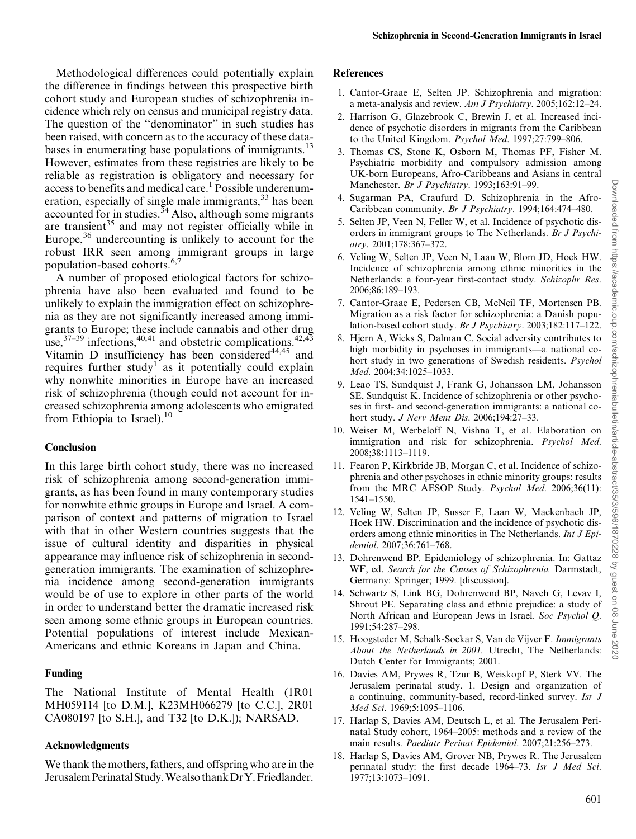Methodological differences could potentially explain the difference in findings between this prospective birth cohort study and European studies of schizophrenia incidence which rely on census and municipal registry data. The question of the ''denominator'' in such studies has been raised, with concern as to the accuracy of these databases in enumerating base populations of immigrants.<sup>13</sup> However, estimates from these registries are likely to be reliable as registration is obligatory and necessary for access to benefits and medical care.<sup>1</sup> Possible underenumeration, especially of single male immigrants,<sup>33</sup> has been accounted for in studies. $34$  Also, although some migrants are transient<sup>35</sup> and may not register officially while in Europe, $36$  undercounting is unlikely to account for the robust IRR seen among immigrant groups in large population-based cohorts.<sup>6,7</sup>

A number of proposed etiological factors for schizophrenia have also been evaluated and found to be unlikely to explain the immigration effect on schizophrenia as they are not significantly increased among immigrants to Europe; these include cannabis and other drug use,  $37-39$  infections,  $40,41$  and obstetric complications.  $42,43$ Vitamin D insufficiency has been considered $44,45$  and requires further study<sup>1</sup> as it potentially could explain why nonwhite minorities in Europe have an increased risk of schizophrenia (though could not account for increased schizophrenia among adolescents who emigrated from Ethiopia to Israel). $^{10}$ 

# **Conclusion**

In this large birth cohort study, there was no increased risk of schizophrenia among second-generation immigrants, as has been found in many contemporary studies for nonwhite ethnic groups in Europe and Israel. A comparison of context and patterns of migration to Israel with that in other Western countries suggests that the issue of cultural identity and disparities in physical appearance may influence risk of schizophrenia in secondgeneration immigrants. The examination of schizophrenia incidence among second-generation immigrants would be of use to explore in other parts of the world in order to understand better the dramatic increased risk seen among some ethnic groups in European countries. Potential populations of interest include Mexican-Americans and ethnic Koreans in Japan and China.

# Funding

The National Institute of Mental Health (1R01 MH059114 [to D.M.], K23MH066279 [to C.C.], 2R01 CA080197 [to S.H.], and T32 [to D.K.]); NARSAD.

# Acknowledgments

We thank the mothers, fathers, and offspring who are in the JerusalemPerinatalStudy.WealsothankDrY.Friedlander.

## References

- 1. Cantor-Graae E, Selten JP. Schizophrenia and migration: a meta-analysis and review. Am J Psychiatry. 2005;162:12–24.
- 2. Harrison G, Glazebrook C, Brewin J, et al. Increased incidence of psychotic disorders in migrants from the Caribbean to the United Kingdom. Psychol Med. 1997;27:799–806.
- 3. Thomas CS, Stone K, Osborn M, Thomas PF, Fisher M. Psychiatric morbidity and compulsory admission among UK-born Europeans, Afro-Caribbeans and Asians in central Manchester. Br J Psychiatry. 1993;163:91-99.
- 4. Sugarman PA, Craufurd D. Schizophrenia in the Afro-Caribbean community. Br J Psychiatry. 1994;164:474–480.
- 5. Selten JP, Veen N, Feller W, et al. Incidence of psychotic disorders in immigrant groups to The Netherlands. Br J Psychiatry. 2001;178:367–372.
- 6. Veling W, Selten JP, Veen N, Laan W, Blom JD, Hoek HW. Incidence of schizophrenia among ethnic minorities in the Netherlands: a four-year first-contact study. Schizophr Res. 2006;86:189–193.
- 7. Cantor-Graae E, Pedersen CB, McNeil TF, Mortensen PB. Migration as a risk factor for schizophrenia: a Danish population-based cohort study. Br J Psychiatry. 2003;182:117–122.
- 8. Hjern A, Wicks S, Dalman C. Social adversity contributes to high morbidity in psychoses in immigrants—a national cohort study in two generations of Swedish residents. Psychol Med. 2004;34:1025–1033.
- 9. Leao TS, Sundquist J, Frank G, Johansson LM, Johansson SE, Sundquist K. Incidence of schizophrenia or other psychoses in first- and second-generation immigrants: a national cohort study. J Nerv Ment Dis. 2006;194:27–33.
- 10. Weiser M, Werbeloff N, Vishna T, et al. Elaboration on immigration and risk for schizophrenia. Psychol Med. 2008;38:1113–1119.
- 11. Fearon P, Kirkbride JB, Morgan C, et al. Incidence of schizophrenia and other psychoses in ethnic minority groups: results from the MRC AESOP Study. Psychol Med. 2006;36(11): 1541–1550.
- 12. Veling W, Selten JP, Susser E, Laan W, Mackenbach JP, Hoek HW. Discrimination and the incidence of psychotic disorders among ethnic minorities in The Netherlands. Int J Epidemiol. 2007;36:761–768.
- 13. Dohrenwend BP. Epidemiology of schizophrenia. In: Gattaz WF, ed. Search for the Causes of Schizophrenia. Darmstadt, Germany: Springer; 1999. [discussion].
- 14. Schwartz S, Link BG, Dohrenwend BP, Naveh G, Levav I, Shrout PE. Separating class and ethnic prejudice: a study of North African and European Jews in Israel. Soc Psychol Q. 1991;54:287–298.
- 15. Hoogsteder M, Schalk-Soekar S, Van de Vijver F. Immigrants About the Netherlands in 2001. Utrecht, The Netherlands: Dutch Center for Immigrants; 2001.
- 16. Davies AM, Prywes R, Tzur B, Weiskopf P, Sterk VV. The Jerusalem perinatal study. 1. Design and organization of a continuing, community-based, record-linked survey. Isr J Med Sci. 1969;5:1095–1106.
- 17. Harlap S, Davies AM, Deutsch L, et al. The Jerusalem Perinatal Study cohort, 1964–2005: methods and a review of the main results. Paediatr Perinat Epidemiol. 2007;21:256–273.
- 18. Harlap S, Davies AM, Grover NB, Prywes R. The Jerusalem perinatal study: the first decade 1964–73. Isr J Med Sci. 1977;13:1073–1091.